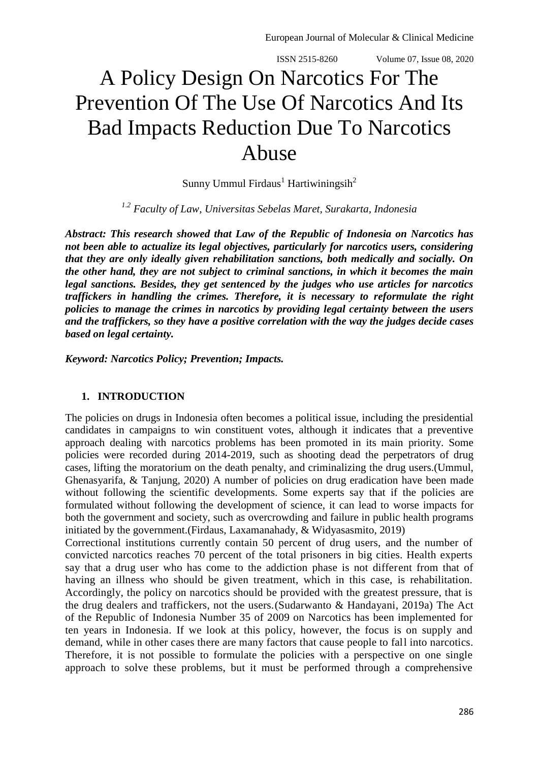# A Policy Design On Narcotics For The Prevention Of The Use Of Narcotics And Its Bad Impacts Reduction Due To Narcotics Abuse

Sunny Ummul Firdaus<sup>1</sup> Hartiwiningsih<sup>2</sup>

*1.2 Faculty of Law, Universitas Sebelas Maret, Surakarta, Indonesia*

*Abstract: This research showed that Law of the Republic of Indonesia on Narcotics has not been able to actualize its legal objectives, particularly for narcotics users, considering that they are only ideally given rehabilitation sanctions, both medically and socially. On the other hand, they are not subject to criminal sanctions, in which it becomes the main legal sanctions. Besides, they get sentenced by the judges who use articles for narcotics traffickers in handling the crimes. Therefore, it is necessary to reformulate the right policies to manage the crimes in narcotics by providing legal certainty between the users and the traffickers, so they have a positive correlation with the way the judges decide cases based on legal certainty.*

*Keyword: Narcotics Policy; Prevention; Impacts.*

## **1. INTRODUCTION**

The policies on drugs in Indonesia often becomes a political issue, including the presidential candidates in campaigns to win constituent votes, although it indicates that a preventive approach dealing with narcotics problems has been promoted in its main priority. Some policies were recorded during 2014-2019, such as shooting dead the perpetrators of drug cases, lifting the moratorium on the death penalty, and criminalizing the drug users.(Ummul, Ghenasyarifa, & Tanjung, 2020) A number of policies on drug eradication have been made without following the scientific developments. Some experts say that if the policies are formulated without following the development of science, it can lead to worse impacts for both the government and society, such as overcrowding and failure in public health programs initiated by the government.(Firdaus, Laxamanahady, & Widyasasmito, 2019)

Correctional institutions currently contain 50 percent of drug users, and the number of convicted narcotics reaches 70 percent of the total prisoners in big cities. Health experts say that a drug user who has come to the addiction phase is not different from that of having an illness who should be given treatment, which in this case, is rehabilitation. Accordingly, the policy on narcotics should be provided with the greatest pressure, that is the drug dealers and traffickers, not the users.(Sudarwanto & Handayani, 2019a) The Act of the Republic of Indonesia Number 35 of 2009 on Narcotics has been implemented for ten years in Indonesia. If we look at this policy, however, the focus is on supply and demand, while in other cases there are many factors that cause people to fall into narcotics. Therefore, it is not possible to formulate the policies with a perspective on one single approach to solve these problems, but it must be performed through a comprehensive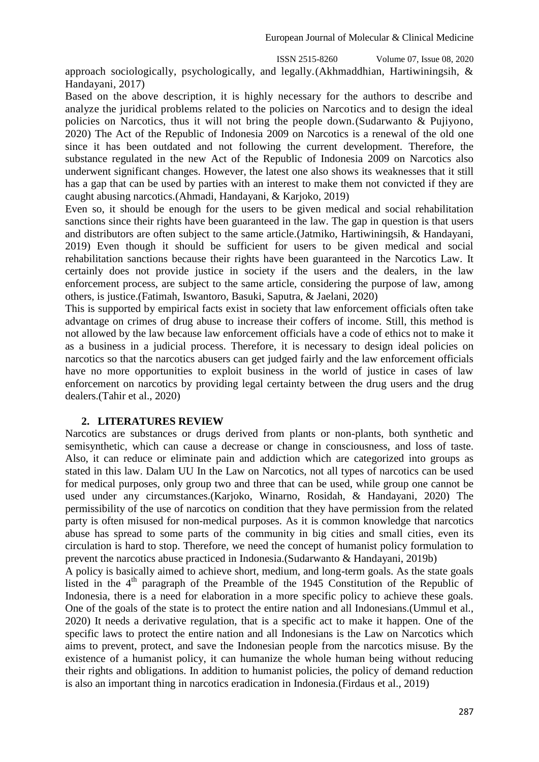approach sociologically, psychologically, and legally.(Akhmaddhian, Hartiwiningsih, & Handayani, 2017)

Based on the above description, it is highly necessary for the authors to describe and analyze the juridical problems related to the policies on Narcotics and to design the ideal policies on Narcotics, thus it will not bring the people down.(Sudarwanto & Pujiyono, 2020) The Act of the Republic of Indonesia 2009 on Narcotics is a renewal of the old one since it has been outdated and not following the current development. Therefore, the substance regulated in the new Act of the Republic of Indonesia 2009 on Narcotics also underwent significant changes. However, the latest one also shows its weaknesses that it still has a gap that can be used by parties with an interest to make them not convicted if they are caught abusing narcotics.(Ahmadi, Handayani, & Karjoko, 2019)

Even so, it should be enough for the users to be given medical and social rehabilitation sanctions since their rights have been guaranteed in the law. The gap in question is that users and distributors are often subject to the same article.(Jatmiko, Hartiwiningsih, & Handayani, 2019) Even though it should be sufficient for users to be given medical and social rehabilitation sanctions because their rights have been guaranteed in the Narcotics Law. It certainly does not provide justice in society if the users and the dealers, in the law enforcement process, are subject to the same article, considering the purpose of law, among others, is justice.(Fatimah, Iswantoro, Basuki, Saputra, & Jaelani, 2020)

This is supported by empirical facts exist in society that law enforcement officials often take advantage on crimes of drug abuse to increase their coffers of income. Still, this method is not allowed by the law because law enforcement officials have a code of ethics not to make it as a business in a judicial process. Therefore, it is necessary to design ideal policies on narcotics so that the narcotics abusers can get judged fairly and the law enforcement officials have no more opportunities to exploit business in the world of justice in cases of law enforcement on narcotics by providing legal certainty between the drug users and the drug dealers.(Tahir et al., 2020)

# **2. LITERATURES REVIEW**

Narcotics are substances or drugs derived from plants or non-plants, both synthetic and semisynthetic, which can cause a decrease or change in consciousness, and loss of taste. Also, it can reduce or eliminate pain and addiction which are categorized into groups as stated in this law. Dalam UU In the Law on Narcotics, not all types of narcotics can be used for medical purposes, only group two and three that can be used, while group one cannot be used under any circumstances.(Karjoko, Winarno, Rosidah, & Handayani, 2020) The permissibility of the use of narcotics on condition that they have permission from the related party is often misused for non-medical purposes. As it is common knowledge that narcotics abuse has spread to some parts of the community in big cities and small cities, even its circulation is hard to stop. Therefore, we need the concept of humanist policy formulation to prevent the narcotics abuse practiced in Indonesia.(Sudarwanto & Handayani, 2019b)

A policy is basically aimed to achieve short, medium, and long-term goals. As the state goals listed in the  $4<sup>th</sup>$  paragraph of the Preamble of the 1945 Constitution of the Republic of Indonesia, there is a need for elaboration in a more specific policy to achieve these goals. One of the goals of the state is to protect the entire nation and all Indonesians.(Ummul et al., 2020) It needs a derivative regulation, that is a specific act to make it happen. One of the specific laws to protect the entire nation and all Indonesians is the Law on Narcotics which aims to prevent, protect, and save the Indonesian people from the narcotics misuse. By the existence of a humanist policy, it can humanize the whole human being without reducing their rights and obligations. In addition to humanist policies, the policy of demand reduction is also an important thing in narcotics eradication in Indonesia.(Firdaus et al., 2019)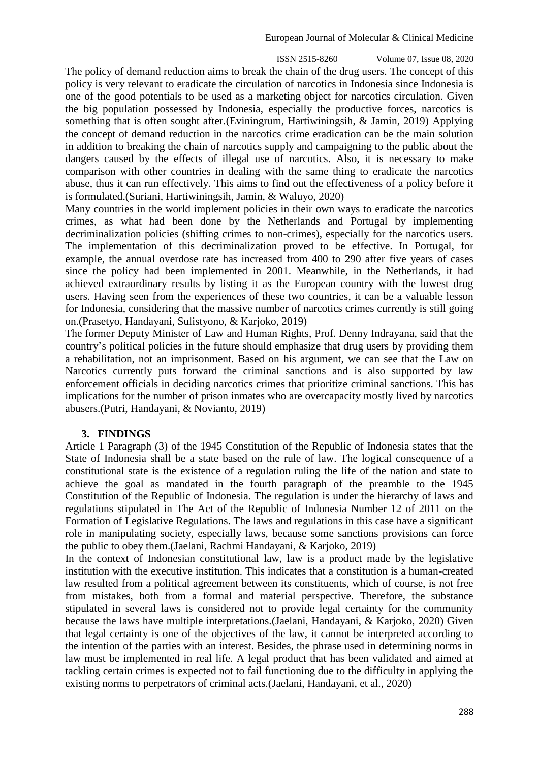ISSN 2515-8260 Volume 07, Issue 08, 2020 The policy of demand reduction aims to break the chain of the drug users. The concept of this policy is very relevant to eradicate the circulation of narcotics in Indonesia since Indonesia is one of the good potentials to be used as a marketing object for narcotics circulation. Given the big population possessed by Indonesia, especially the productive forces, narcotics is something that is often sought after.(Eviningrum, Hartiwiningsih, & Jamin, 2019) Applying the concept of demand reduction in the narcotics crime eradication can be the main solution in addition to breaking the chain of narcotics supply and campaigning to the public about the dangers caused by the effects of illegal use of narcotics. Also, it is necessary to make comparison with other countries in dealing with the same thing to eradicate the narcotics abuse, thus it can run effectively. This aims to find out the effectiveness of a policy before it is formulated.(Suriani, Hartiwiningsih, Jamin, & Waluyo, 2020)

Many countries in the world implement policies in their own ways to eradicate the narcotics crimes, as what had been done by the Netherlands and Portugal by implementing decriminalization policies (shifting crimes to non-crimes), especially for the narcotics users. The implementation of this decriminalization proved to be effective. In Portugal, for example, the annual overdose rate has increased from 400 to 290 after five years of cases since the policy had been implemented in 2001. Meanwhile, in the Netherlands, it had achieved extraordinary results by listing it as the European country with the lowest drug users. Having seen from the experiences of these two countries, it can be a valuable lesson for Indonesia, considering that the massive number of narcotics crimes currently is still going on.(Prasetyo, Handayani, Sulistyono, & Karjoko, 2019)

The former Deputy Minister of Law and Human Rights, Prof. Denny Indrayana, said that the country's political policies in the future should emphasize that drug users by providing them a rehabilitation, not an imprisonment. Based on his argument, we can see that the Law on Narcotics currently puts forward the criminal sanctions and is also supported by law enforcement officials in deciding narcotics crimes that prioritize criminal sanctions. This has implications for the number of prison inmates who are overcapacity mostly lived by narcotics abusers.(Putri, Handayani, & Novianto, 2019)

# **3. FINDINGS**

Article 1 Paragraph (3) of the 1945 Constitution of the Republic of Indonesia states that the State of Indonesia shall be a state based on the rule of law. The logical consequence of a constitutional state is the existence of a regulation ruling the life of the nation and state to achieve the goal as mandated in the fourth paragraph of the preamble to the 1945 Constitution of the Republic of Indonesia. The regulation is under the hierarchy of laws and regulations stipulated in The Act of the Republic of Indonesia Number 12 of 2011 on the Formation of Legislative Regulations. The laws and regulations in this case have a significant role in manipulating society, especially laws, because some sanctions provisions can force the public to obey them.(Jaelani, Rachmi Handayani, & Karjoko, 2019)

In the context of Indonesian constitutional law, law is a product made by the legislative institution with the executive institution. This indicates that a constitution is a human-created law resulted from a political agreement between its constituents, which of course, is not free from mistakes, both from a formal and material perspective. Therefore, the substance stipulated in several laws is considered not to provide legal certainty for the community because the laws have multiple interpretations.(Jaelani, Handayani, & Karjoko, 2020) Given that legal certainty is one of the objectives of the law, it cannot be interpreted according to the intention of the parties with an interest. Besides, the phrase used in determining norms in law must be implemented in real life. A legal product that has been validated and aimed at tackling certain crimes is expected not to fail functioning due to the difficulty in applying the existing norms to perpetrators of criminal acts.(Jaelani, Handayani, et al., 2020)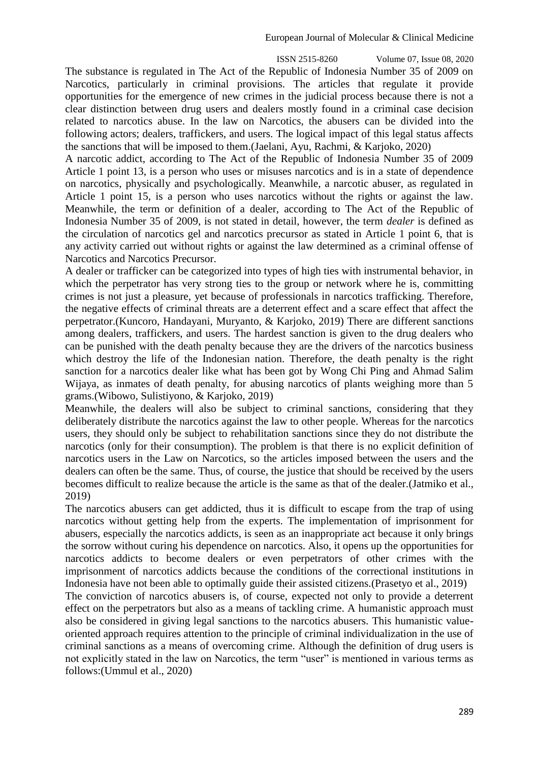ISSN 2515-8260 Volume 07, Issue 08, 2020 The substance is regulated in The Act of the Republic of Indonesia Number 35 of 2009 on Narcotics, particularly in criminal provisions. The articles that regulate it provide opportunities for the emergence of new crimes in the judicial process because there is not a clear distinction between drug users and dealers mostly found in a criminal case decision related to narcotics abuse. In the law on Narcotics, the abusers can be divided into the following actors; dealers, traffickers, and users. The logical impact of this legal status affects the sanctions that will be imposed to them.(Jaelani, Ayu, Rachmi, & Karjoko, 2020)

A narcotic addict, according to The Act of the Republic of Indonesia Number 35 of 2009 Article 1 point 13, is a person who uses or misuses narcotics and is in a state of dependence on narcotics, physically and psychologically. Meanwhile, a narcotic abuser, as regulated in Article 1 point 15, is a person who uses narcotics without the rights or against the law. Meanwhile, the term or definition of a dealer, according to The Act of the Republic of Indonesia Number 35 of 2009, is not stated in detail, however, the term *dealer* is defined as the circulation of narcotics gel and narcotics precursor as stated in Article 1 point 6, that is any activity carried out without rights or against the law determined as a criminal offense of Narcotics and Narcotics Precursor.

A dealer or trafficker can be categorized into types of high ties with instrumental behavior, in which the perpetrator has very strong ties to the group or network where he is, committing crimes is not just a pleasure, yet because of professionals in narcotics trafficking. Therefore, the negative effects of criminal threats are a deterrent effect and a scare effect that affect the perpetrator.(Kuncoro, Handayani, Muryanto, & Karjoko, 2019) There are different sanctions among dealers, traffickers, and users. The hardest sanction is given to the drug dealers who can be punished with the death penalty because they are the drivers of the narcotics business which destroy the life of the Indonesian nation. Therefore, the death penalty is the right sanction for a narcotics dealer like what has been got by Wong Chi Ping and Ahmad Salim Wijaya, as inmates of death penalty, for abusing narcotics of plants weighing more than 5 grams.(Wibowo, Sulistiyono, & Karjoko, 2019)

Meanwhile, the dealers will also be subject to criminal sanctions, considering that they deliberately distribute the narcotics against the law to other people. Whereas for the narcotics users, they should only be subject to rehabilitation sanctions since they do not distribute the narcotics (only for their consumption). The problem is that there is no explicit definition of narcotics users in the Law on Narcotics, so the articles imposed between the users and the dealers can often be the same. Thus, of course, the justice that should be received by the users becomes difficult to realize because the article is the same as that of the dealer.(Jatmiko et al., 2019)

The narcotics abusers can get addicted, thus it is difficult to escape from the trap of using narcotics without getting help from the experts. The implementation of imprisonment for abusers, especially the narcotics addicts, is seen as an inappropriate act because it only brings the sorrow without curing his dependence on narcotics. Also, it opens up the opportunities for narcotics addicts to become dealers or even perpetrators of other crimes with the imprisonment of narcotics addicts because the conditions of the correctional institutions in Indonesia have not been able to optimally guide their assisted citizens.(Prasetyo et al., 2019)

The conviction of narcotics abusers is, of course, expected not only to provide a deterrent effect on the perpetrators but also as a means of tackling crime. A humanistic approach must also be considered in giving legal sanctions to the narcotics abusers. This humanistic valueoriented approach requires attention to the principle of criminal individualization in the use of criminal sanctions as a means of overcoming crime. Although the definition of drug users is not explicitly stated in the law on Narcotics, the term "user" is mentioned in various terms as follows:(Ummul et al., 2020)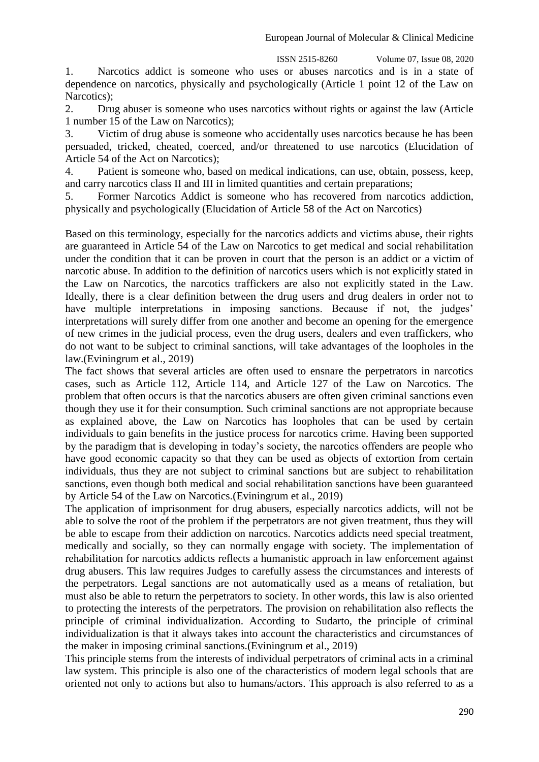1. Narcotics addict is someone who uses or abuses narcotics and is in a state of dependence on narcotics, physically and psychologically (Article 1 point 12 of the Law on Narcotics);

2. Drug abuser is someone who uses narcotics without rights or against the law (Article 1 number 15 of the Law on Narcotics);

3. Victim of drug abuse is someone who accidentally uses narcotics because he has been persuaded, tricked, cheated, coerced, and/or threatened to use narcotics (Elucidation of Article 54 of the Act on Narcotics);

4. Patient is someone who, based on medical indications, can use, obtain, possess, keep, and carry narcotics class II and III in limited quantities and certain preparations;

5. Former Narcotics Addict is someone who has recovered from narcotics addiction, physically and psychologically (Elucidation of Article 58 of the Act on Narcotics)

Based on this terminology, especially for the narcotics addicts and victims abuse, their rights are guaranteed in Article 54 of the Law on Narcotics to get medical and social rehabilitation under the condition that it can be proven in court that the person is an addict or a victim of narcotic abuse. In addition to the definition of narcotics users which is not explicitly stated in the Law on Narcotics, the narcotics traffickers are also not explicitly stated in the Law. Ideally, there is a clear definition between the drug users and drug dealers in order not to have multiple interpretations in imposing sanctions. Because if not, the judges' interpretations will surely differ from one another and become an opening for the emergence of new crimes in the judicial process, even the drug users, dealers and even traffickers, who do not want to be subject to criminal sanctions, will take advantages of the loopholes in the law.(Eviningrum et al., 2019)

The fact shows that several articles are often used to ensnare the perpetrators in narcotics cases, such as Article 112, Article 114, and Article 127 of the Law on Narcotics. The problem that often occurs is that the narcotics abusers are often given criminal sanctions even though they use it for their consumption. Such criminal sanctions are not appropriate because as explained above, the Law on Narcotics has loopholes that can be used by certain individuals to gain benefits in the justice process for narcotics crime. Having been supported by the paradigm that is developing in today's society, the narcotics offenders are people who have good economic capacity so that they can be used as objects of extortion from certain individuals, thus they are not subject to criminal sanctions but are subject to rehabilitation sanctions, even though both medical and social rehabilitation sanctions have been guaranteed by Article 54 of the Law on Narcotics.(Eviningrum et al., 2019)

The application of imprisonment for drug abusers, especially narcotics addicts, will not be able to solve the root of the problem if the perpetrators are not given treatment, thus they will be able to escape from their addiction on narcotics. Narcotics addicts need special treatment, medically and socially, so they can normally engage with society. The implementation of rehabilitation for narcotics addicts reflects a humanistic approach in law enforcement against drug abusers. This law requires Judges to carefully assess the circumstances and interests of the perpetrators. Legal sanctions are not automatically used as a means of retaliation, but must also be able to return the perpetrators to society. In other words, this law is also oriented to protecting the interests of the perpetrators. The provision on rehabilitation also reflects the principle of criminal individualization. According to Sudarto, the principle of criminal individualization is that it always takes into account the characteristics and circumstances of the maker in imposing criminal sanctions.(Eviningrum et al., 2019)

This principle stems from the interests of individual perpetrators of criminal acts in a criminal law system. This principle is also one of the characteristics of modern legal schools that are oriented not only to actions but also to humans/actors. This approach is also referred to as a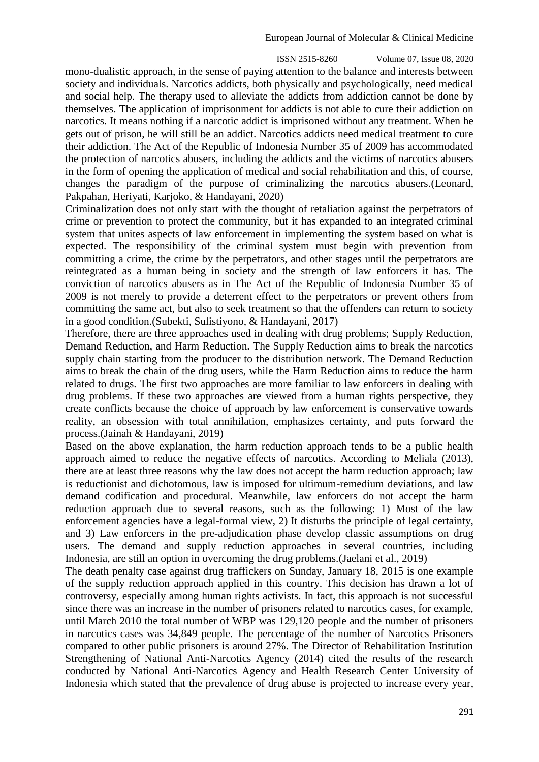ISSN 2515-8260 Volume 07, Issue 08, 2020 mono-dualistic approach, in the sense of paying attention to the balance and interests between society and individuals. Narcotics addicts, both physically and psychologically, need medical and social help. The therapy used to alleviate the addicts from addiction cannot be done by themselves. The application of imprisonment for addicts is not able to cure their addiction on narcotics. It means nothing if a narcotic addict is imprisoned without any treatment. When he gets out of prison, he will still be an addict. Narcotics addicts need medical treatment to cure their addiction. The Act of the Republic of Indonesia Number 35 of 2009 has accommodated the protection of narcotics abusers, including the addicts and the victims of narcotics abusers in the form of opening the application of medical and social rehabilitation and this, of course, changes the paradigm of the purpose of criminalizing the narcotics abusers.(Leonard, Pakpahan, Heriyati, Karjoko, & Handayani, 2020)

Criminalization does not only start with the thought of retaliation against the perpetrators of crime or prevention to protect the community, but it has expanded to an integrated criminal system that unites aspects of law enforcement in implementing the system based on what is expected. The responsibility of the criminal system must begin with prevention from committing a crime, the crime by the perpetrators, and other stages until the perpetrators are reintegrated as a human being in society and the strength of law enforcers it has. The conviction of narcotics abusers as in The Act of the Republic of Indonesia Number 35 of 2009 is not merely to provide a deterrent effect to the perpetrators or prevent others from committing the same act, but also to seek treatment so that the offenders can return to society in a good condition.(Subekti, Sulistiyono, & Handayani, 2017)

Therefore, there are three approaches used in dealing with drug problems; Supply Reduction, Demand Reduction, and Harm Reduction. The Supply Reduction aims to break the narcotics supply chain starting from the producer to the distribution network. The Demand Reduction aims to break the chain of the drug users, while the Harm Reduction aims to reduce the harm related to drugs. The first two approaches are more familiar to law enforcers in dealing with drug problems. If these two approaches are viewed from a human rights perspective, they create conflicts because the choice of approach by law enforcement is conservative towards reality, an obsession with total annihilation, emphasizes certainty, and puts forward the process.(Jainah & Handayani, 2019)

Based on the above explanation, the harm reduction approach tends to be a public health approach aimed to reduce the negative effects of narcotics. According to Meliala (2013), there are at least three reasons why the law does not accept the harm reduction approach; law is reductionist and dichotomous, law is imposed for ultimum-remedium deviations, and law demand codification and procedural. Meanwhile, law enforcers do not accept the harm reduction approach due to several reasons, such as the following: 1) Most of the law enforcement agencies have a legal-formal view, 2) It disturbs the principle of legal certainty, and 3) Law enforcers in the pre-adjudication phase develop classic assumptions on drug users. The demand and supply reduction approaches in several countries, including Indonesia, are still an option in overcoming the drug problems.(Jaelani et al., 2019)

The death penalty case against drug traffickers on Sunday, January 18, 2015 is one example of the supply reduction approach applied in this country. This decision has drawn a lot of controversy, especially among human rights activists. In fact, this approach is not successful since there was an increase in the number of prisoners related to narcotics cases, for example, until March 2010 the total number of WBP was 129,120 people and the number of prisoners in narcotics cases was 34,849 people. The percentage of the number of Narcotics Prisoners compared to other public prisoners is around 27%. The Director of Rehabilitation Institution Strengthening of National Anti-Narcotics Agency (2014) cited the results of the research conducted by National Anti-Narcotics Agency and Health Research Center University of Indonesia which stated that the prevalence of drug abuse is projected to increase every year,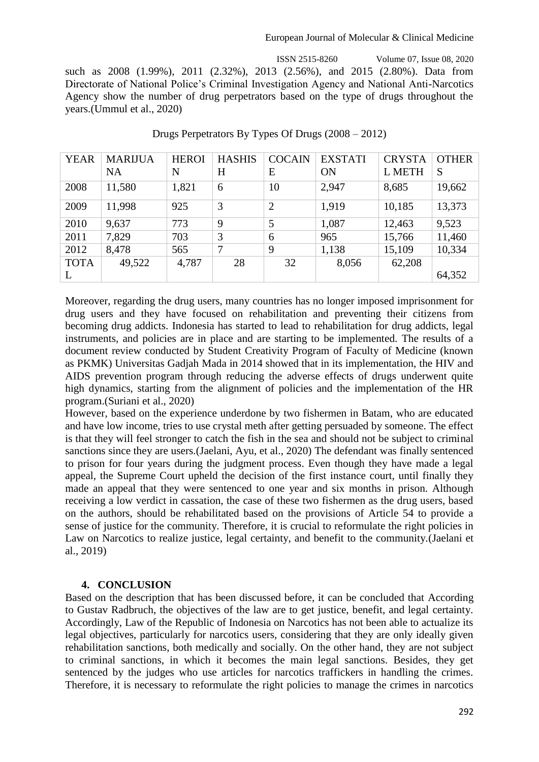#### European Journal of Molecular & Clinical Medicine

 ISSN 2515-8260 Volume 07, Issue 08, 2020 such as 2008 (1.99%), 2011 (2.32%), 2013 (2.56%), and 2015 (2.80%). Data from Directorate of National Police's Criminal Investigation Agency and National Anti-Narcotics Agency show the number of drug perpetrators based on the type of drugs throughout the years.(Ummul et al., 2020)

| <b>YEAR</b> | <b>MARIJUA</b> | <b>HEROI</b> | <b>HASHIS</b> | <b>COCAIN</b>  | <b>EXSTATI</b> | <b>CRYSTA</b> | <b>OTHER</b> |
|-------------|----------------|--------------|---------------|----------------|----------------|---------------|--------------|
|             | <b>NA</b>      | N            | H             | E              | ON             | L METH        | S            |
| 2008        | 11,580         | 1,821        | 6             | 10             | 2,947          | 8,685         | 19,662       |
| 2009        | 11,998         | 925          | 3             | $\overline{2}$ | 1,919          | 10,185        | 13,373       |
| 2010        | 9,637          | 773          | 9             | 5              | 1,087          | 12,463        | 9,523        |
| 2011        | 7,829          | 703          | 3             | 6              | 965            | 15,766        | 11,460       |
| 2012        | 8,478          | 565          | 7             | 9              | 1,138          | 15,109        | 10,334       |
| <b>TOTA</b> | 49,522         | 4,787        | 28            | 32             | 8,056          | 62,208        |              |
| L           |                |              |               |                |                |               | 64,352       |

Drugs Perpetrators By Types Of Drugs (2008 – 2012)

Moreover, regarding the drug users, many countries has no longer imposed imprisonment for drug users and they have focused on rehabilitation and preventing their citizens from becoming drug addicts. Indonesia has started to lead to rehabilitation for drug addicts, legal instruments, and policies are in place and are starting to be implemented. The results of a document review conducted by Student Creativity Program of Faculty of Medicine (known as PKMK) Universitas Gadjah Mada in 2014 showed that in its implementation, the HIV and AIDS prevention program through reducing the adverse effects of drugs underwent quite high dynamics, starting from the alignment of policies and the implementation of the HR program.(Suriani et al., 2020)

However, based on the experience underdone by two fishermen in Batam, who are educated and have low income, tries to use crystal meth after getting persuaded by someone. The effect is that they will feel stronger to catch the fish in the sea and should not be subject to criminal sanctions since they are users.(Jaelani, Ayu, et al., 2020) The defendant was finally sentenced to prison for four years during the judgment process. Even though they have made a legal appeal, the Supreme Court upheld the decision of the first instance court, until finally they made an appeal that they were sentenced to one year and six months in prison. Although receiving a low verdict in cassation, the case of these two fishermen as the drug users, based on the authors, should be rehabilitated based on the provisions of Article 54 to provide a sense of justice for the community. Therefore, it is crucial to reformulate the right policies in Law on Narcotics to realize justice, legal certainty, and benefit to the community.(Jaelani et al., 2019)

## **4. CONCLUSION**

Based on the description that has been discussed before, it can be concluded that According to Gustav Radbruch, the objectives of the law are to get justice, benefit, and legal certainty. Accordingly, Law of the Republic of Indonesia on Narcotics has not been able to actualize its legal objectives, particularly for narcotics users, considering that they are only ideally given rehabilitation sanctions, both medically and socially. On the other hand, they are not subject to criminal sanctions, in which it becomes the main legal sanctions. Besides, they get sentenced by the judges who use articles for narcotics traffickers in handling the crimes. Therefore, it is necessary to reformulate the right policies to manage the crimes in narcotics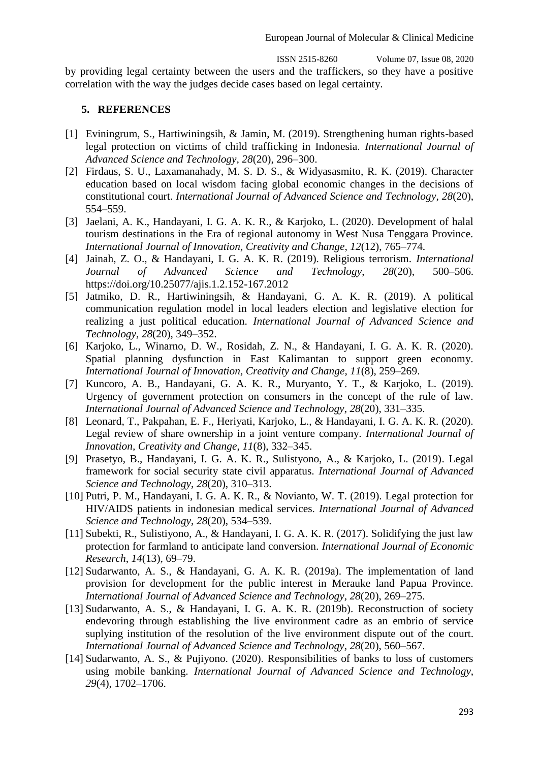ISSN 2515-8260 Volume 07, Issue 08, 2020 by providing legal certainty between the users and the traffickers, so they have a positive correlation with the way the judges decide cases based on legal certainty.

## **5. REFERENCES**

- [1] Eviningrum, S., Hartiwiningsih, & Jamin, M. (2019). Strengthening human rights-based legal protection on victims of child trafficking in Indonesia. *International Journal of Advanced Science and Technology*, *28*(20), 296–300.
- [2] Firdaus, S. U., Laxamanahady, M. S. D. S., & Widyasasmito, R. K. (2019). Character education based on local wisdom facing global economic changes in the decisions of constitutional court. *International Journal of Advanced Science and Technology*, *28*(20), 554–559.
- [3] Jaelani, A. K., Handayani, I. G. A. K. R., & Karjoko, L. (2020). Development of halal tourism destinations in the Era of regional autonomy in West Nusa Tenggara Province. *International Journal of Innovation, Creativity and Change*, *12*(12), 765–774.
- [4] Jainah, Z. O., & Handayani, I. G. A. K. R. (2019). Religious terrorism. *International Journal of Advanced Science and Technology*, *28*(20), 500–506. https://doi.org/10.25077/ajis.1.2.152-167.2012
- [5] Jatmiko, D. R., Hartiwiningsih, & Handayani, G. A. K. R. (2019). A political communication regulation model in local leaders election and legislative election for realizing a just political education. *International Journal of Advanced Science and Technology*, *28*(20), 349–352.
- [6] Karjoko, L., Winarno, D. W., Rosidah, Z. N., & Handayani, I. G. A. K. R. (2020). Spatial planning dysfunction in East Kalimantan to support green economy. *International Journal of Innovation, Creativity and Change*, *11*(8), 259–269.
- [7] Kuncoro, A. B., Handayani, G. A. K. R., Muryanto, Y. T., & Karjoko, L. (2019). Urgency of government protection on consumers in the concept of the rule of law. *International Journal of Advanced Science and Technology*, *28*(20), 331–335.
- [8] Leonard, T., Pakpahan, E. F., Heriyati, Karjoko, L., & Handayani, I. G. A. K. R. (2020). Legal review of share ownership in a joint venture company. *International Journal of Innovation, Creativity and Change*, *11*(8), 332–345.
- [9] Prasetyo, B., Handayani, I. G. A. K. R., Sulistyono, A., & Karjoko, L. (2019). Legal framework for social security state civil apparatus. *International Journal of Advanced Science and Technology*, *28*(20), 310–313.
- [10] Putri, P. M., Handayani, I. G. A. K. R., & Novianto, W. T. (2019). Legal protection for HIV/AIDS patients in indonesian medical services. *International Journal of Advanced Science and Technology*, *28*(20), 534–539.
- [11] Subekti, R., Sulistiyono, A., & Handayani, I. G. A. K. R. (2017). Solidifying the just law protection for farmland to anticipate land conversion. *International Journal of Economic Research*, *14*(13), 69–79.
- [12] Sudarwanto, A. S., & Handayani, G. A. K. R. (2019a). The implementation of land provision for development for the public interest in Merauke land Papua Province. *International Journal of Advanced Science and Technology*, *28*(20), 269–275.
- [13] Sudarwanto, A. S., & Handayani, I. G. A. K. R. (2019b). Reconstruction of society endevoring through establishing the live environment cadre as an embrio of service suplying institution of the resolution of the live environment dispute out of the court. *International Journal of Advanced Science and Technology*, *28*(20), 560–567.
- [14] Sudarwanto, A. S., & Pujiyono. (2020). Responsibilities of banks to loss of customers using mobile banking. *International Journal of Advanced Science and Technology*, *29*(4), 1702–1706.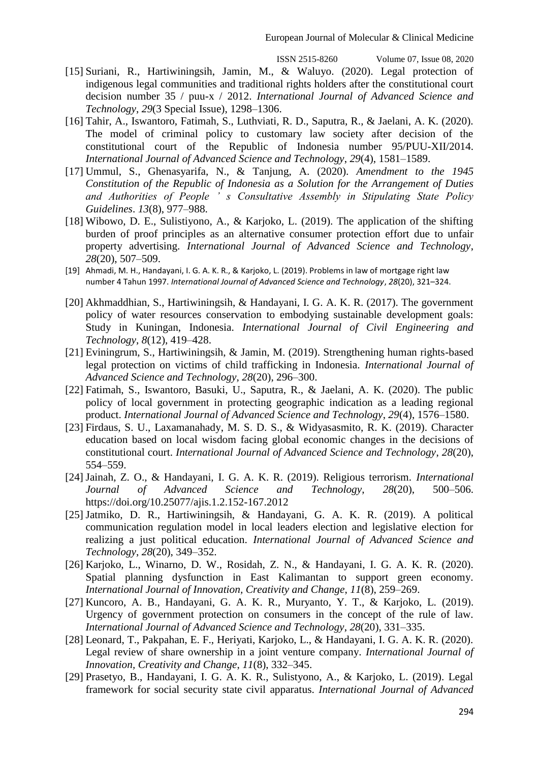- [15] Suriani, R., Hartiwiningsih, Jamin, M., & Waluyo. (2020). Legal protection of indigenous legal communities and traditional rights holders after the constitutional court decision number 35 / puu-x / 2012. *International Journal of Advanced Science and Technology*, *29*(3 Special Issue), 1298–1306.
- [16] Tahir, A., Iswantoro, Fatimah, S., Luthviati, R. D., Saputra, R., & Jaelani, A. K. (2020). The model of criminal policy to customary law society after decision of the constitutional court of the Republic of Indonesia number 95/PUU-XII/2014. *International Journal of Advanced Science and Technology*, *29*(4), 1581–1589.
- [17] Ummul, S., Ghenasyarifa, N., & Tanjung, A. (2020). *Amendment to the 1945 Constitution of the Republic of Indonesia as a Solution for the Arrangement of Duties and Authorities of People ' s Consultative Assembly in Stipulating State Policy Guidelines*. *13*(8), 977–988.
- [18] Wibowo, D. E., Sulistiyono, A., & Karjoko, L. (2019). The application of the shifting burden of proof principles as an alternative consumer protection effort due to unfair property advertising. *International Journal of Advanced Science and Technology*, *28*(20), 507–509.
- [19] Ahmadi, M. H., Handayani, I. G. A. K. R., & Karjoko, L. (2019). Problems in law of mortgage right law number 4 Tahun 1997. *International Journal of Advanced Science and Technology*, *28*(20), 321–324.
- [20] Akhmaddhian, S., Hartiwiningsih, & Handayani, I. G. A. K. R. (2017). The government policy of water resources conservation to embodying sustainable development goals: Study in Kuningan, Indonesia. *International Journal of Civil Engineering and Technology*, *8*(12), 419–428.
- [21] Eviningrum, S., Hartiwiningsih, & Jamin, M. (2019). Strengthening human rights-based legal protection on victims of child trafficking in Indonesia. *International Journal of Advanced Science and Technology*, *28*(20), 296–300.
- [22] Fatimah, S., Iswantoro, Basuki, U., Saputra, R., & Jaelani, A. K. (2020). The public policy of local government in protecting geographic indication as a leading regional product. *International Journal of Advanced Science and Technology*, *29*(4), 1576–1580.
- [23] Firdaus, S. U., Laxamanahady, M. S. D. S., & Widyasasmito, R. K. (2019). Character education based on local wisdom facing global economic changes in the decisions of constitutional court. *International Journal of Advanced Science and Technology*, *28*(20), 554–559.
- [24] Jainah, Z. O., & Handayani, I. G. A. K. R. (2019). Religious terrorism. *International Journal of Advanced Science and Technology*, *28*(20), 500–506. https://doi.org/10.25077/ajis.1.2.152-167.2012
- [25] Jatmiko, D. R., Hartiwiningsih, & Handayani, G. A. K. R. (2019). A political communication regulation model in local leaders election and legislative election for realizing a just political education. *International Journal of Advanced Science and Technology*, *28*(20), 349–352.
- [26] Karjoko, L., Winarno, D. W., Rosidah, Z. N., & Handayani, I. G. A. K. R. (2020). Spatial planning dysfunction in East Kalimantan to support green economy. *International Journal of Innovation, Creativity and Change*, *11*(8), 259–269.
- [27] Kuncoro, A. B., Handayani, G. A. K. R., Muryanto, Y. T., & Karjoko, L. (2019). Urgency of government protection on consumers in the concept of the rule of law. *International Journal of Advanced Science and Technology*, *28*(20), 331–335.
- [28] Leonard, T., Pakpahan, E. F., Heriyati, Karjoko, L., & Handayani, I. G. A. K. R. (2020). Legal review of share ownership in a joint venture company. *International Journal of Innovation, Creativity and Change*, *11*(8), 332–345.
- [29] Prasetyo, B., Handayani, I. G. A. K. R., Sulistyono, A., & Karjoko, L. (2019). Legal framework for social security state civil apparatus. *International Journal of Advanced*